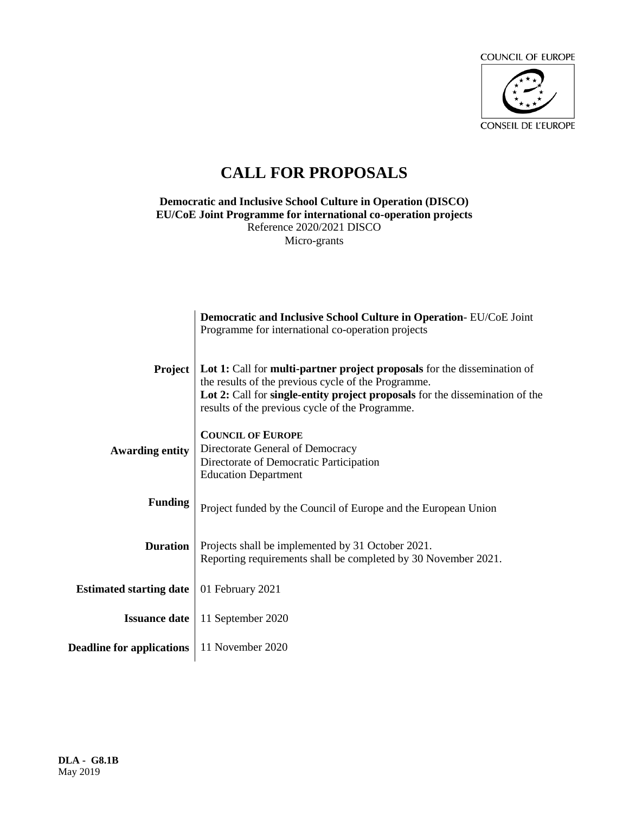

# **CALL FOR PROPOSALS**

**Democratic and Inclusive School Culture in Operation (DISCO) EU/CoE Joint Programme for international co-operation projects** Reference 2020/2021 DISCO Micro-grants

|                                  | Democratic and Inclusive School Culture in Operation-EU/CoE Joint<br>Programme for international co-operation projects                                                                                                                                                    |
|----------------------------------|---------------------------------------------------------------------------------------------------------------------------------------------------------------------------------------------------------------------------------------------------------------------------|
| Project                          | Lot 1: Call for <b>multi-partner project proposals</b> for the dissemination of<br>the results of the previous cycle of the Programme.<br>Lot 2: Call for single-entity project proposals for the dissemination of the<br>results of the previous cycle of the Programme. |
| <b>Awarding entity</b>           | <b>COUNCIL OF EUROPE</b><br>Directorate General of Democracy<br>Directorate of Democratic Participation<br><b>Education Department</b>                                                                                                                                    |
| <b>Funding</b>                   | Project funded by the Council of Europe and the European Union                                                                                                                                                                                                            |
| <b>Duration</b>                  | Projects shall be implemented by 31 October 2021.<br>Reporting requirements shall be completed by 30 November 2021.                                                                                                                                                       |
| <b>Estimated starting date</b>   | 01 February 2021                                                                                                                                                                                                                                                          |
| <b>Issuance date</b>             | 11 September 2020                                                                                                                                                                                                                                                         |
| <b>Deadline for applications</b> | 11 November 2020                                                                                                                                                                                                                                                          |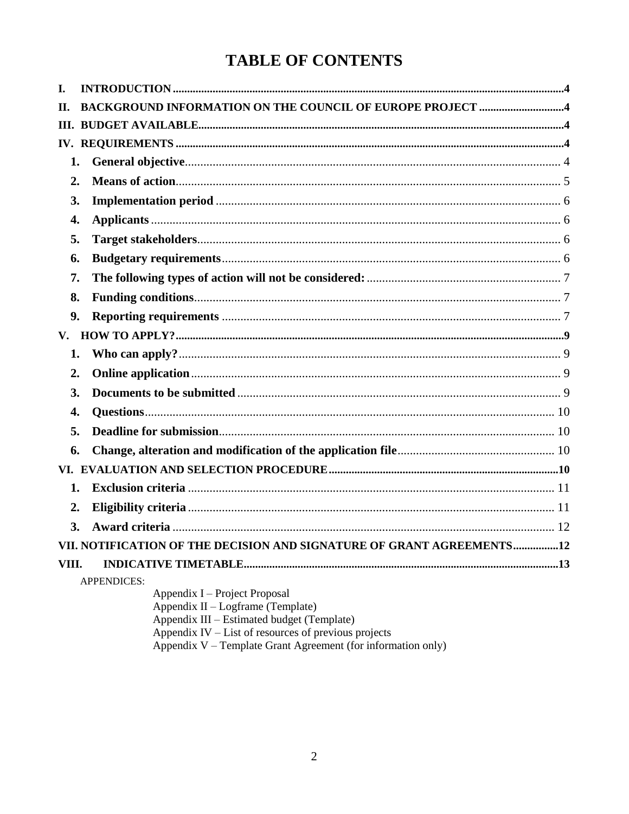# **TABLE OF CONTENTS**

| I.    |                                                                                                                                                                                                  |  |  |
|-------|--------------------------------------------------------------------------------------------------------------------------------------------------------------------------------------------------|--|--|
| П.    | BACKGROUND INFORMATION ON THE COUNCIL OF EUROPE PROJECT 4                                                                                                                                        |  |  |
|       |                                                                                                                                                                                                  |  |  |
|       |                                                                                                                                                                                                  |  |  |
| 1.    |                                                                                                                                                                                                  |  |  |
| 2.    |                                                                                                                                                                                                  |  |  |
| 3.    |                                                                                                                                                                                                  |  |  |
| 4.    |                                                                                                                                                                                                  |  |  |
| 5.    |                                                                                                                                                                                                  |  |  |
| 6.    |                                                                                                                                                                                                  |  |  |
| 7.    |                                                                                                                                                                                                  |  |  |
| 8.    |                                                                                                                                                                                                  |  |  |
| 9.    |                                                                                                                                                                                                  |  |  |
| V.    |                                                                                                                                                                                                  |  |  |
| 1.    |                                                                                                                                                                                                  |  |  |
| 2.    |                                                                                                                                                                                                  |  |  |
| 3.    |                                                                                                                                                                                                  |  |  |
| 4.    |                                                                                                                                                                                                  |  |  |
| 5.    |                                                                                                                                                                                                  |  |  |
| 6.    |                                                                                                                                                                                                  |  |  |
|       |                                                                                                                                                                                                  |  |  |
| 1.    |                                                                                                                                                                                                  |  |  |
| 2.    |                                                                                                                                                                                                  |  |  |
| 3.    |                                                                                                                                                                                                  |  |  |
|       | VII. NOTIFICATION OF THE DECISION AND SIGNATURE OF GRANT AGREEMENTS12                                                                                                                            |  |  |
| VIII. |                                                                                                                                                                                                  |  |  |
|       | <b>APPENDICES:</b><br>Appendix I – Project Proposal<br>Appendix II - Logframe (Template)<br>Appendix III – Estimated budget (Template)<br>Appendix $IV - List$ of resources of previous projects |  |  |

Appendix IV – List of resources of previous projects<br>Appendix V – Template Grant Agreement (for information only)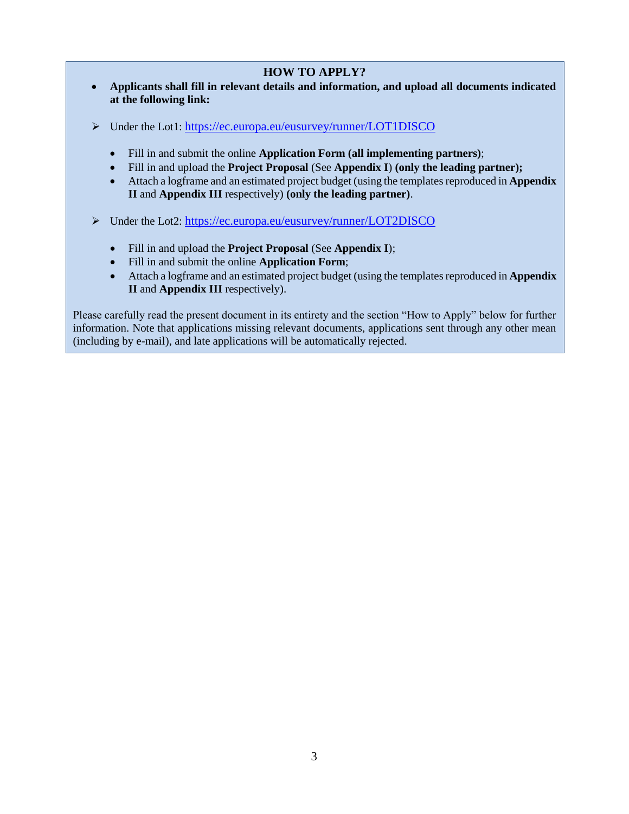# **HOW TO APPLY?**

- **Applicants shall fill in relevant details and information, and upload all documents indicated at the following link:**
- Under the Lot1: <https://ec.europa.eu/eusurvey/runner/LOT1DISCO>
	- Fill in and submit the online **Application Form (all implementing partners)**;
	- Fill in and upload the **Project Proposal** (See **Appendix I**) **(only the leading partner);**
	- Attach a logframe and an estimated project budget (using the templatesreproduced in **Appendix II** and **Appendix III** respectively) **(only the leading partner)**.
- Under the Lot2: <https://ec.europa.eu/eusurvey/runner/LOT2DISCO>
	- Fill in and upload the **Project Proposal** (See **Appendix I**);
	- Fill in and submit the online **Application Form**;
	- Attach a logframe and an estimated project budget (using the templatesreproduced in **Appendix II** and **Appendix III** respectively).

Please carefully read the present document in its entirety and the section "How to Apply" below for further information. Note that applications missing relevant documents, applications sent through any other mean (including by e-mail), and late applications will be automatically rejected.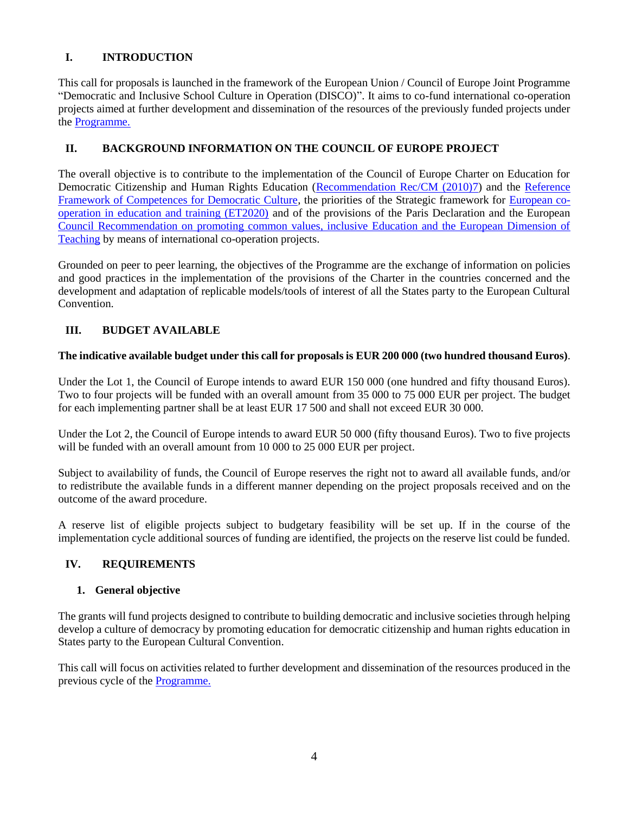# <span id="page-3-0"></span>**I. INTRODUCTION**

This call for proposals is launched in the framework of the European Union / Council of Europe Joint Programme "Democratic and Inclusive School Culture in Operation (DISCO)". It aims to co-fund international co-operation projects aimed at further development and dissemination of the resources of the previously funded projects under the [Programme.](https://pjp-eu.coe.int/en/web/charter-edc-hre-pilot-projects/projects)

## <span id="page-3-1"></span>**II. BACKGROUND INFORMATION ON THE COUNCIL OF EUROPE PROJECT**

The overall objective is to contribute to the implementation of the Council of Europe Charter on Education for Democratic Citizenship and Human Rights Education [\(Recommendation Rec/CM \(2010\)7\)](https://www.coe.int/en/web/edc/charter-on-education-for-democratic-citizenship-and-human-rights-education) and the [Reference](https://rm.coe.int/CoERMPublicCommonSearchServices/DisplayDCTMContent?documentId=09000016806ccc07)  [Framework of Competences for Democratic Culture,](https://rm.coe.int/CoERMPublicCommonSearchServices/DisplayDCTMContent?documentId=09000016806ccc07) the priorities of the Strategic framework for [European co](http://ec.europa.eu/education/policy/strategic-framework_en)[operation in education and training \(ET2020\)](http://ec.europa.eu/education/policy/strategic-framework_en) and of the provisions of the Paris Declaration and the European [Council Recommendation on promoting common values, inclusive Education and the European Dimension of](https://eur-lex.europa.eu/legal-content/EN/TXT/HTML/?uri=CELEX:32018H0607(01)&from=EN)  [Teaching](https://eur-lex.europa.eu/legal-content/EN/TXT/HTML/?uri=CELEX:32018H0607(01)&from=EN) by means of international co-operation projects.

Grounded on peer to peer learning, the objectives of the Programme are the exchange of information on policies and good practices in the implementation of the provisions of the Charter in the countries concerned and the development and adaptation of replicable models/tools of interest of all the States party to the European Cultural Convention.

# <span id="page-3-2"></span>**III. BUDGET AVAILABLE**

#### **The indicative available budget under this call for proposals is EUR 200 000 (two hundred thousand Euros)**.

Under the Lot 1, the Council of Europe intends to award EUR 150 000 (one hundred and fifty thousand Euros). Two to four projects will be funded with an overall amount from 35 000 to 75 000 EUR per project. The budget for each implementing partner shall be at least EUR 17 500 and shall not exceed EUR 30 000.

Under the Lot 2, the Council of Europe intends to award EUR 50 000 (fifty thousand Euros). Two to five projects will be funded with an overall amount from 10 000 to 25 000 EUR per project.

Subject to availability of funds, the Council of Europe reserves the right not to award all available funds, and/or to redistribute the available funds in a different manner depending on the project proposals received and on the outcome of the award procedure.

A reserve list of eligible projects subject to budgetary feasibility will be set up. If in the course of the implementation cycle additional sources of funding are identified, the projects on the reserve list could be funded.

#### <span id="page-3-3"></span>**IV. REQUIREMENTS**

#### <span id="page-3-4"></span>**1. General objective**

The grants will fund projects designed to contribute to building democratic and inclusive societies through helping develop a culture of democracy by promoting education for democratic citizenship and human rights education in States party to the European Cultural Convention.

This call will focus on activities related to further development and dissemination of the resources produced in the previous cycle of the [Programme.](https://pjp-eu.coe.int/en/web/charter-edc-hre-pilot-projects/projects)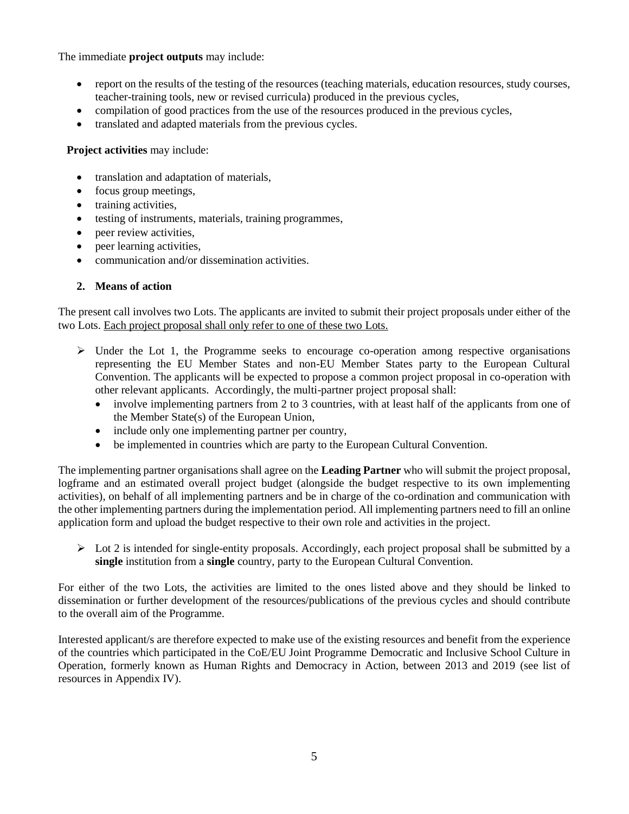The immediate **project outputs** may include:

- report on the results of the testing of the resources (teaching materials, education resources, study courses, teacher-training tools, new or revised curricula) produced in the previous cycles,
- compilation of good practices from the use of the resources produced in the previous cycles,
- translated and adapted materials from the previous cycles.

**Project activities** may include:

- translation and adaptation of materials,
- focus group meetings,
- training activities,
- testing of instruments, materials, training programmes,
- peer review activities,
- peer learning activities,
- communication and/or dissemination activities.

#### <span id="page-4-0"></span>**2. Means of action**

The present call involves two Lots. The applicants are invited to submit their project proposals under either of the two Lots. Each project proposal shall only refer to one of these two Lots.

- $\triangleright$  Under the Lot 1, the Programme seeks to encourage co-operation among respective organisations representing the EU Member States and non-EU Member States party to the European Cultural Convention. The applicants will be expected to propose a common project proposal in co-operation with other relevant applicants. Accordingly, the multi-partner project proposal shall:
	- involve implementing partners from 2 to 3 countries, with at least half of the applicants from one of the Member State(s) of the European Union,
	- include only one implementing partner per country,
	- be implemented in countries which are party to the European Cultural Convention.

The implementing partner organisations shall agree on the **Leading Partner** who will submit the project proposal, logframe and an estimated overall project budget (alongside the budget respective to its own implementing activities), on behalf of all implementing partners and be in charge of the co-ordination and communication with the other implementing partners during the implementation period. All implementing partners need to fill an online application form and upload the budget respective to their own role and activities in the project.

 $\triangleright$  Lot 2 is intended for single-entity proposals. Accordingly, each project proposal shall be submitted by a **single** institution from a **single** country, party to the European Cultural Convention.

For either of the two Lots, the activities are limited to the ones listed above and they should be linked to dissemination or further development of the resources/publications of the previous cycles and should contribute to the overall aim of the Programme.

Interested applicant/s are therefore expected to make use of the existing resources and benefit from the experience of the countries which participated in the CoE/EU Joint Programme Democratic and Inclusive School Culture in Operation, formerly known as Human Rights and Democracy in Action, between 2013 and 2019 (see list of resources in Appendix IV).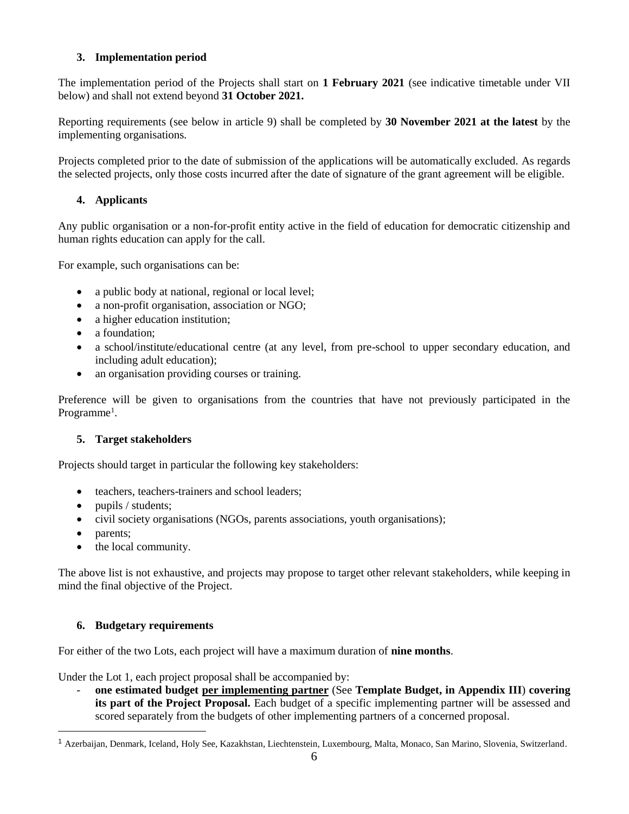# <span id="page-5-0"></span>**3. Implementation period**

The implementation period of the Projects shall start on **1 February 2021** (see indicative timetable under VII below) and shall not extend beyond **31 October 2021.**

Reporting requirements (see below in article 9) shall be completed by **30 November 2021 at the latest** by the implementing organisations.

Projects completed prior to the date of submission of the applications will be automatically excluded. As regards the selected projects, only those costs incurred after the date of signature of the grant agreement will be eligible.

# <span id="page-5-1"></span>**4. Applicants**

Any public organisation or a non-for-profit entity active in the field of education for democratic citizenship and human rights education can apply for the call.

For example, such organisations can be:

- a public body at national, regional or local level;
- a non-profit organisation, association or NGO;
- a higher education institution;
- a foundation:
- a school/institute/educational centre (at any level, from pre-school to upper secondary education, and including adult education);
- an organisation providing courses or training.

Preference will be given to organisations from the countries that have not previously participated in the Programme<sup>1</sup>.

#### <span id="page-5-2"></span>**5. Target stakeholders**

Projects should target in particular the following key stakeholders:

- teachers, teachers-trainers and school leaders;
- pupils / students;
- civil society organisations (NGOs, parents associations, youth organisations);
- parents:

 $\overline{a}$ 

• the local community.

The above list is not exhaustive, and projects may propose to target other relevant stakeholders, while keeping in mind the final objective of the Project.

#### <span id="page-5-3"></span>**6. Budgetary requirements**

For either of the two Lots, each project will have a maximum duration of **nine months**.

Under the Lot 1, each project proposal shall be accompanied by:

- **one estimated budget per implementing partner** (See **Template Budget, in Appendix III**) **covering its part of the Project Proposal.** Each budget of a specific implementing partner will be assessed and scored separately from the budgets of other implementing partners of a concerned proposal.

<sup>1</sup> Azerbaijan, Denmark, Iceland, Holy See, Kazakhstan, Liechtenstein, Luxembourg, Malta, Monaco, San Marino, Slovenia, Switzerland.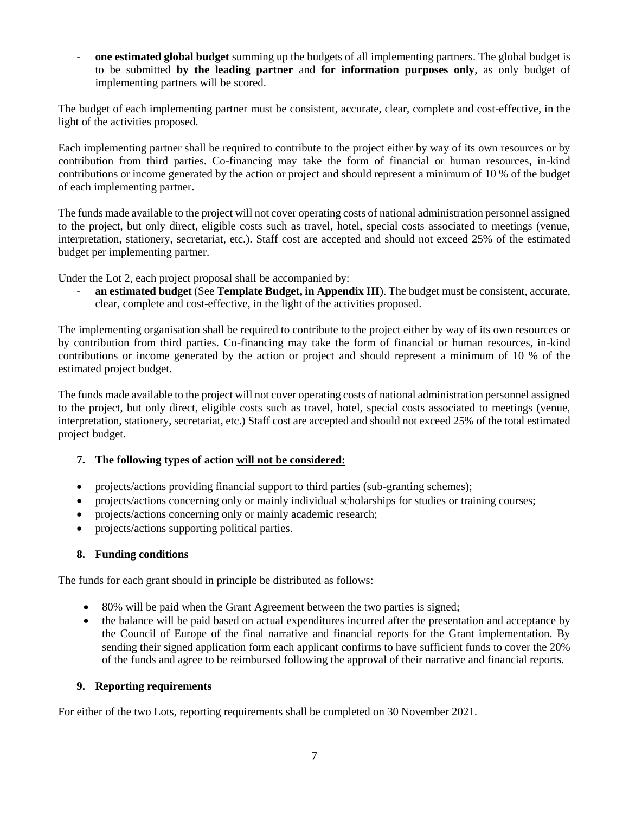- **one estimated global budget** summing up the budgets of all implementing partners. The global budget is to be submitted **by the leading partner** and **for information purposes only**, as only budget of implementing partners will be scored.

The budget of each implementing partner must be consistent, accurate, clear, complete and cost-effective, in the light of the activities proposed.

Each implementing partner shall be required to contribute to the project either by way of its own resources or by contribution from third parties. Co-financing may take the form of financial or human resources, in-kind contributions or income generated by the action or project and should represent a minimum of 10 % of the budget of each implementing partner.

The funds made available to the project will not cover operating costs of national administration personnel assigned to the project, but only direct, eligible costs such as travel, hotel, special costs associated to meetings (venue, interpretation, stationery, secretariat, etc.). Staff cost are accepted and should not exceed 25% of the estimated budget per implementing partner.

Under the Lot 2, each project proposal shall be accompanied by:

- **an estimated budget** (See **Template Budget, in Appendix III**). The budget must be consistent, accurate, clear, complete and cost-effective, in the light of the activities proposed.

The implementing organisation shall be required to contribute to the project either by way of its own resources or by contribution from third parties. Co-financing may take the form of financial or human resources, in-kind contributions or income generated by the action or project and should represent a minimum of 10 % of the estimated project budget.

The funds made available to the project will not cover operating costs of national administration personnel assigned to the project, but only direct, eligible costs such as travel, hotel, special costs associated to meetings (venue, interpretation, stationery, secretariat, etc.) Staff cost are accepted and should not exceed 25% of the total estimated project budget.

# <span id="page-6-0"></span>**7. The following types of action will not be considered:**

- projects/actions providing financial support to third parties (sub-granting schemes);
- projects/actions concerning only or mainly individual scholarships for studies or training courses;
- projects/actions concerning only or mainly academic research;
- projects/actions supporting political parties.

#### <span id="page-6-1"></span>**8. Funding conditions**

The funds for each grant should in principle be distributed as follows:

- 80% will be paid when the Grant Agreement between the two parties is signed;
- the balance will be paid based on actual expenditures incurred after the presentation and acceptance by the Council of Europe of the final narrative and financial reports for the Grant implementation. By sending their signed application form each applicant confirms to have sufficient funds to cover the 20% of the funds and agree to be reimbursed following the approval of their narrative and financial reports.

#### <span id="page-6-2"></span>**9. Reporting requirements**

For either of the two Lots, reporting requirements shall be completed on 30 November 2021.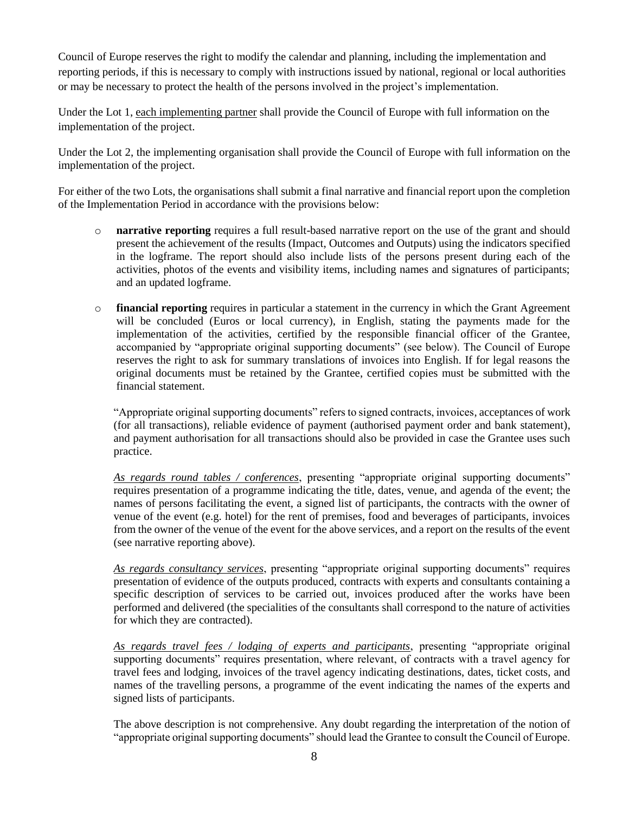Council of Europe reserves the right to modify the calendar and planning, including the implementation and reporting periods, if this is necessary to comply with instructions issued by national, regional or local authorities or may be necessary to protect the health of the persons involved in the project's implementation.

Under the Lot 1, each implementing partner shall provide the Council of Europe with full information on the implementation of the project.

Under the Lot 2, the implementing organisation shall provide the Council of Europe with full information on the implementation of the project.

For either of the two Lots, the organisations shall submit a final narrative and financial report upon the completion of the Implementation Period in accordance with the provisions below:

- o **narrative reporting** requires a full result-based narrative report on the use of the grant and should present the achievement of the results (Impact, Outcomes and Outputs) using the indicators specified in the logframe. The report should also include lists of the persons present during each of the activities, photos of the events and visibility items, including names and signatures of participants; and an updated logframe.
- o **financial reporting** requires in particular a statement in the currency in which the Grant Agreement will be concluded (Euros or local currency), in English, stating the payments made for the implementation of the activities, certified by the responsible financial officer of the Grantee, accompanied by "appropriate original supporting documents" (see below). The Council of Europe reserves the right to ask for summary translations of invoices into English. If for legal reasons the original documents must be retained by the Grantee, certified copies must be submitted with the financial statement.

"Appropriate original supporting documents" refers to signed contracts, invoices, acceptances of work (for all transactions), reliable evidence of payment (authorised payment order and bank statement), and payment authorisation for all transactions should also be provided in case the Grantee uses such practice.

*As regards round tables / conferences*, presenting "appropriate original supporting documents" requires presentation of a programme indicating the title, dates, venue, and agenda of the event; the names of persons facilitating the event, a signed list of participants, the contracts with the owner of venue of the event (e.g. hotel) for the rent of premises, food and beverages of participants, invoices from the owner of the venue of the event for the above services, and a report on the results of the event (see narrative reporting above).

*As regards consultancy services*, presenting "appropriate original supporting documents" requires presentation of evidence of the outputs produced, contracts with experts and consultants containing a specific description of services to be carried out, invoices produced after the works have been performed and delivered (the specialities of the consultants shall correspond to the nature of activities for which they are contracted).

*As regards travel fees / lodging of experts and participants*, presenting "appropriate original supporting documents" requires presentation, where relevant, of contracts with a travel agency for travel fees and lodging, invoices of the travel agency indicating destinations, dates, ticket costs, and names of the travelling persons, a programme of the event indicating the names of the experts and signed lists of participants.

The above description is not comprehensive. Any doubt regarding the interpretation of the notion of "appropriate original supporting documents" should lead the Grantee to consult the Council of Europe.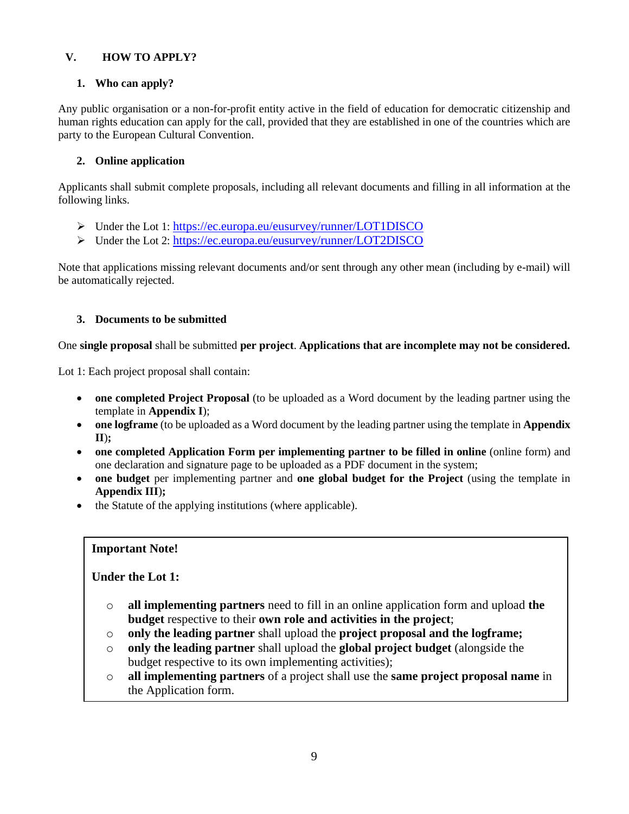# <span id="page-8-0"></span>**V. HOW TO APPLY?**

# <span id="page-8-1"></span>**1. Who can apply?**

Any public organisation or a non-for-profit entity active in the field of education for democratic citizenship and human rights education can apply for the call, provided that they are established in one of the countries which are party to the European Cultural Convention.

# <span id="page-8-2"></span>**2. Online application**

Applicants shall submit complete proposals, including all relevant documents and filling in all information at the following links.

- Under the Lot 1: <https://ec.europa.eu/eusurvey/runner/LOT1DISCO>
- Under the Lot 2: <https://ec.europa.eu/eusurvey/runner/LOT2DISCO>

Note that applications missing relevant documents and/or sent through any other mean (including by e-mail) will be automatically rejected.

# <span id="page-8-3"></span>**3. Documents to be submitted**

One **single proposal** shall be submitted **per project**. **Applications that are incomplete may not be considered.**

Lot 1: Each project proposal shall contain:

- **one completed Project Proposal** (to be uploaded as a Word document by the leading partner using the template in **Appendix I**);
- **one logframe** (to be uploaded as a Word document by the leading partner using the template in **Appendix II**)**;**
- **one completed Application Form per implementing partner to be filled in online** (online form) and one declaration and signature page to be uploaded as a PDF document in the system;
- **one budget** per implementing partner and **one global budget for the Project** (using the template in **Appendix III**)**;**
- the Statute of the applying institutions (where applicable).

# **Important Note!**

# **Under the Lot 1:**

- o **all implementing partners** need to fill in an online application form and upload **the budget** respective to their **own role and activities in the project**;
- o **only the leading partner** shall upload the **project proposal and the logframe;**
- o **only the leading partner** shall upload the **global project budget** (alongside the budget respective to its own implementing activities);
- o **all implementing partners** of a project shall use the **same project proposal name** in the Application form.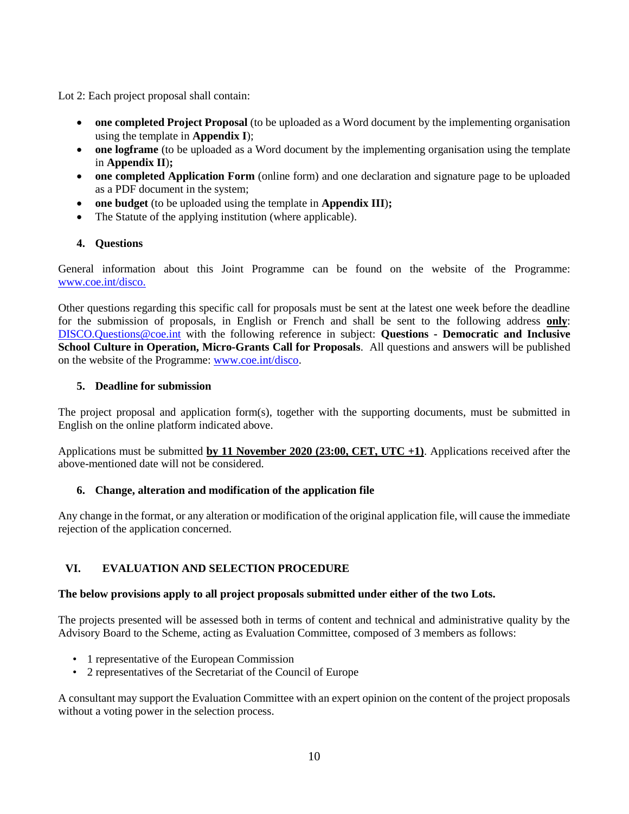Lot 2: Each project proposal shall contain:

- **one completed Project Proposal** (to be uploaded as a Word document by the implementing organisation using the template in **Appendix I**);
- **one logframe** (to be uploaded as a Word document by the implementing organisation using the template in **Appendix II**)**;**
- **one completed Application Form** (online form) and one declaration and signature page to be uploaded as a PDF document in the system;
- **one budget** (to be uploaded using the template in **Appendix III**)**;**
- The Statute of the applying institution (where applicable).

# <span id="page-9-0"></span>**4. Questions**

General information about this Joint Programme can be found on the website of the Programme: [www.coe.int/disco.](http://www.coe.int/disco)

Other questions regarding this specific call for proposals must be sent at the latest one week before the deadline for the submission of proposals, in English or French and shall be sent to the following address **only**: [DISCO.Questions@coe.int](mailto:%20DISCO.Questions@coe.int) with the following reference in subject: **Questions - Democratic and Inclusive School Culture in Operation, Micro-Grants Call for Proposals**. All questions and answers will be published on the website of the Programme: [www.coe.int/disco.](http://www.coe.int/disco)

## <span id="page-9-1"></span>**5. Deadline for submission**

The project proposal and application form(s), together with the supporting documents, must be submitted in English on the online platform indicated above.

Applications must be submitted **by 11 November 2020 (23:00, CET, UTC +1)**. Applications received after the above-mentioned date will not be considered.

# <span id="page-9-2"></span>**6. Change, alteration and modification of the application file**

Any change in the format, or any alteration or modification of the original application file, will cause the immediate rejection of the application concerned.

# <span id="page-9-3"></span>**VI. EVALUATION AND SELECTION PROCEDURE**

# **The below provisions apply to all project proposals submitted under either of the two Lots.**

The projects presented will be assessed both in terms of content and technical and administrative quality by the Advisory Board to the Scheme, acting as Evaluation Committee, composed of 3 members as follows:

- 1 representative of the European Commission
- 2 representatives of the Secretariat of the Council of Europe

A consultant may support the Evaluation Committee with an expert opinion on the content of the project proposals without a voting power in the selection process.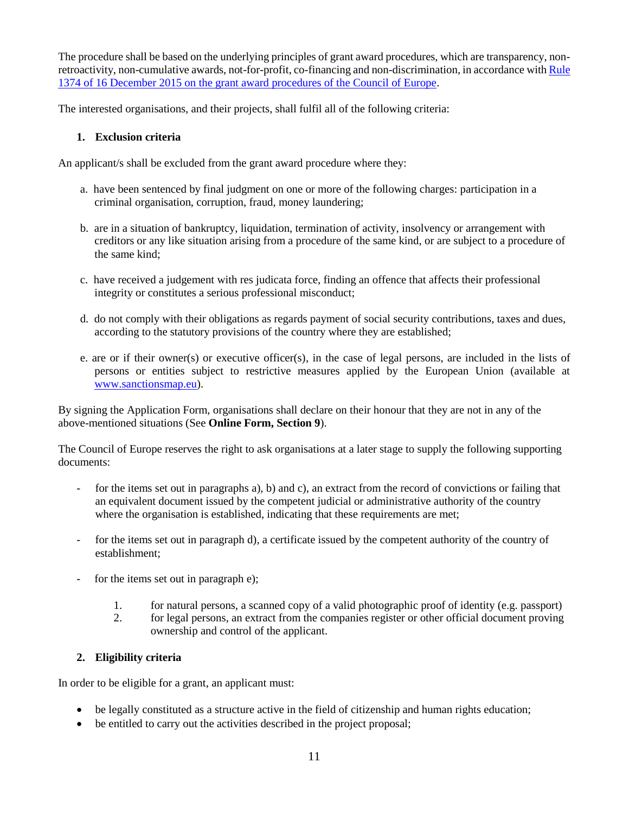The procedure shall be based on the underlying principles of grant award procedures, which are transparency, nonretroactivity, non-cumulative awards, not-for-profit, co-financing and non-discrimination, in accordance wit[h Rule](https://wcd.coe.int/ViewDoc.jsp?Ref=SG/Rule(2015)1374&Language=lanEnglish&Ver=original&BackColorInternet=99CCFF&BackColorIntranet=99CCFF&BackColorLogged=99CCCC)  [1374 of 16 December 2015 on the grant award procedures of the Council of Europe.](https://wcd.coe.int/ViewDoc.jsp?Ref=SG/Rule(2015)1374&Language=lanEnglish&Ver=original&BackColorInternet=99CCFF&BackColorIntranet=99CCFF&BackColorLogged=99CCCC)

The interested organisations, and their projects, shall fulfil all of the following criteria:

## <span id="page-10-0"></span>**1. Exclusion criteria**

An applicant/s shall be excluded from the grant award procedure where they:

- a. have been sentenced by final judgment on one or more of the following charges: participation in a criminal organisation, corruption, fraud, money laundering;
- b. are in a situation of bankruptcy, liquidation, termination of activity, insolvency or arrangement with creditors or any like situation arising from a procedure of the same kind, or are subject to a procedure of the same kind;
- c. have received a judgement with res judicata force, finding an offence that affects their professional integrity or constitutes a serious professional misconduct;
- d. do not comply with their obligations as regards payment of social security contributions, taxes and dues, according to the statutory provisions of the country where they are established;
- e. are or if their owner(s) or executive officer(s), in the case of legal persons, are included in the lists of persons or entities subject to restrictive measures applied by the European Union (available at [www.sanctionsmap.eu\)](http://www.sanctionsmap.eu/).

By signing the Application Form, organisations shall declare on their honour that they are not in any of the above-mentioned situations (See **Online Form, Section 9**).

The Council of Europe reserves the right to ask organisations at a later stage to supply the following supporting documents:

- for the items set out in paragraphs a), b) and c), an extract from the record of convictions or failing that an equivalent document issued by the competent judicial or administrative authority of the country where the organisation is established, indicating that these requirements are met;
- for the items set out in paragraph d), a certificate issued by the competent authority of the country of establishment;
- for the items set out in paragraph e);
	- 1. for natural persons, a scanned copy of a valid photographic proof of identity (e.g. passport)
	- 2. for legal persons, an extract from the companies register or other official document proving ownership and control of the applicant.

# <span id="page-10-1"></span>**2. Eligibility criteria**

In order to be eligible for a grant, an applicant must:

- be legally constituted as a structure active in the field of citizenship and human rights education;
- be entitled to carry out the activities described in the project proposal;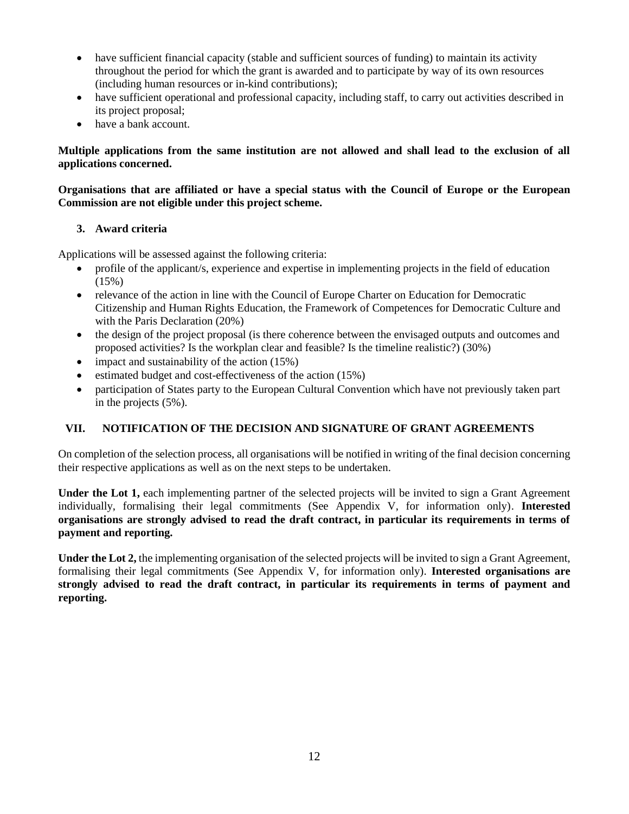- have sufficient financial capacity (stable and sufficient sources of funding) to maintain its activity throughout the period for which the grant is awarded and to participate by way of its own resources (including human resources or in-kind contributions);
- have sufficient operational and professional capacity, including staff, to carry out activities described in its project proposal;
- have a bank account.

## **Multiple applications from the same institution are not allowed and shall lead to the exclusion of all applications concerned.**

## **Organisations that are affiliated or have a special status with the Council of Europe or the European Commission are not eligible under this project scheme.**

# <span id="page-11-0"></span>**3. Award criteria**

Applications will be assessed against the following criteria:

- profile of the applicant/s, experience and expertise in implementing projects in the field of education (15%)
- relevance of the action in line with the Council of Europe Charter on Education for Democratic Citizenship and Human Rights Education, the Framework of Competences for Democratic Culture and with the Paris Declaration (20%)
- the design of the project proposal (is there coherence between the envisaged outputs and outcomes and proposed activities? Is the workplan clear and feasible? Is the timeline realistic?) (30%)
- impact and sustainability of the action  $(15%)$
- $\bullet$  estimated budget and cost-effectiveness of the action (15%)
- participation of States party to the European Cultural Convention which have not previously taken part in the projects (5%).

# <span id="page-11-1"></span>**VII. NOTIFICATION OF THE DECISION AND SIGNATURE OF GRANT AGREEMENTS**

On completion of the selection process, all organisations will be notified in writing of the final decision concerning their respective applications as well as on the next steps to be undertaken.

**Under the Lot 1,** each implementing partner of the selected projects will be invited to sign a Grant Agreement individually, formalising their legal commitments (See Appendix V, for information only). **Interested organisations are strongly advised to read the draft contract, in particular its requirements in terms of payment and reporting.**

**Under the Lot 2,** the implementing organisation of the selected projects will be invited to sign a Grant Agreement, formalising their legal commitments (See Appendix V, for information only). **Interested organisations are strongly advised to read the draft contract, in particular its requirements in terms of payment and reporting.**